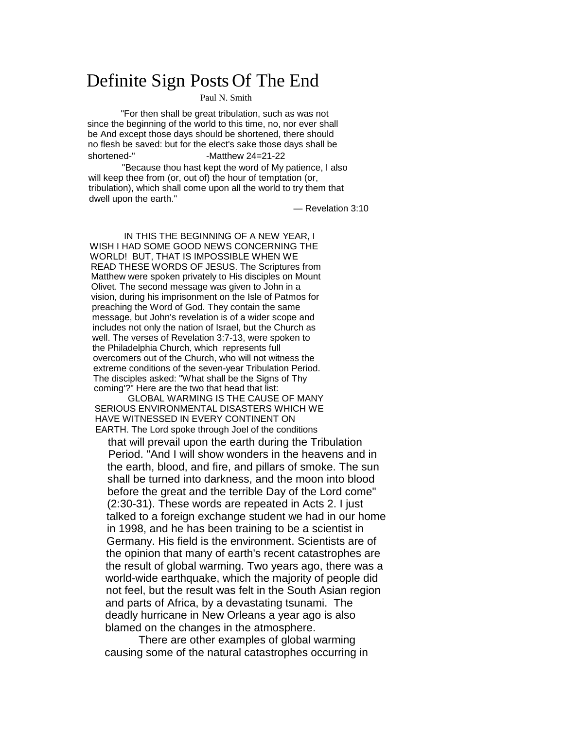# Definite Sign Posts Of The End

Paul N. Smith

"For then shall be great tribulation, such as was not since the beginning of the world to this time, no, nor ever shall be And except those days should be shortened, there should no flesh be saved: but for the elect's sake those days shall be shortened-" -Matthew 24=21-22

"Because thou hast kept the word of My patience, I also will keep thee from (or, out of) the hour of temptation (or, tribulation), which shall come upon all the world to try them that dwell upon the earth."

— Revelation 3:10

IN THIS THE BEGINNING OF A NEW YEAR, I WISH I HAD SOME GOOD NEWS CONCERNING THE WORLD! BUT, THAT IS IMPOSSIBLE WHEN WE READ THESE WORDS OF JESUS. The Scriptures from Matthew were spoken privately to His disciples on Mount Olivet. The second message was given to John in a vision, during his imprisonment on the Isle of Patmos for preaching the Word of God. They contain the same message, but John's revelation is of a wider scope and includes not only the nation of Israel, but the Church as well. The verses of Revelation 3:7-13, were spoken to the Philadelphia Church, which represents full overcomers out of the Church, who will not witness the extreme conditions of the seven-year Tribulation Period. The disciples asked: "What shall be the Signs of Thy coming'?" Here are the two that head that list:

GLOBAL WARMING IS THE CAUSE OF MANY SERIOUS ENVIRONMENTAL DISASTERS WHICH WE HAVE WITNESSED IN EVERY CONTINENT ON EARTH. The Lord spoke through Joel of the conditions

that will prevail upon the earth during the Tribulation Period. "And I will show wonders in the heavens and in the earth, blood, and fire, and pillars of smoke. The sun shall be turned into darkness, and the moon into blood before the great and the terrible Day of the Lord come" (2:30-31). These words are repeated in Acts 2. I just talked to a foreign exchange student we had in our home in 1998, and he has been training to be a scientist in Germany. His field is the environment. Scientists are of the opinion that many of earth's recent catastrophes are the result of global warming. Two years ago, there was a world-wide earthquake, which the majority of people did not feel, but the result was felt in the South Asian region and parts of Africa, by a devastating tsunami. The deadly hurricane in New Orleans a year ago is also blamed on the changes in the atmosphere.

There are other examples of global warming causing some of the natural catastrophes occurring in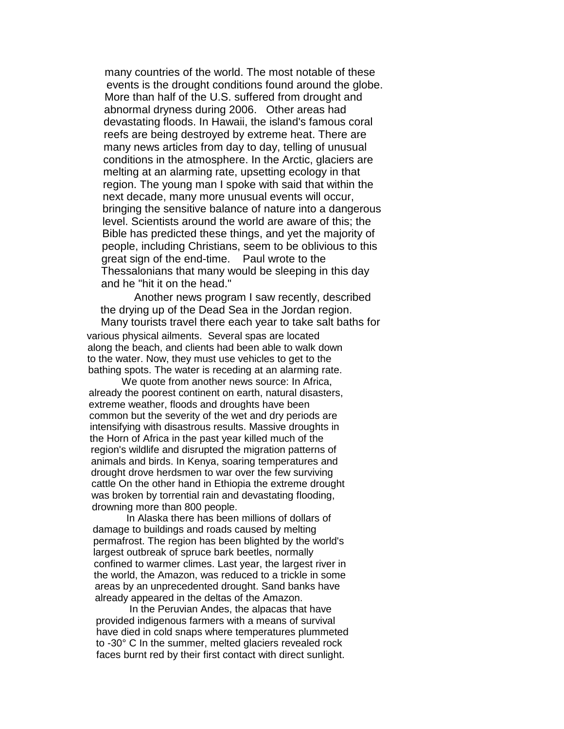many countries of the world. The most notable of these events is the drought conditions found around the globe. More than half of the U.S. suffered from drought and abnormal dryness during 2006. Other areas had devastating floods. In Hawaii, the island's famous coral reefs are being destroyed by extreme heat. There are many news articles from day to day, telling of unusual conditions in the atmosphere. In the Arctic, glaciers are melting at an alarming rate, upsetting ecology in that region. The young man I spoke with said that within the next decade, many more unusual events will occur, bringing the sensitive balance of nature into a dangerous level. Scientists around the world are aware of this; the Bible has predicted these things, and yet the majority of people, including Christians, seem to be oblivious to this great sign of the end-time. Paul wrote to the Thessalonians that many would be sleeping in this day and he "hit it on the head."

Another news program I saw recently, described the drying up of the Dead Sea in the Jordan region. Many tourists travel there each year to take salt baths for

various physical ailments. Several spas are located along the beach, and clients had been able to walk down to the water. Now, they must use vehicles to get to the bathing spots. The water is receding at an alarming rate.

We quote from another news source: In Africa, already the poorest continent on earth, natural disasters, extreme weather, floods and droughts have been common but the severity of the wet and dry periods are intensifying with disastrous results. Massive droughts in the Horn of Africa in the past year killed much of the region's wildlife and disrupted the migration patterns of animals and birds. In Kenya, soaring temperatures and drought drove herdsmen to war over the few surviving cattle On the other hand in Ethiopia the extreme drought was broken by torrential rain and devastating flooding, drowning more than 800 people.

In Alaska there has been millions of dollars of damage to buildings and roads caused by melting permafrost. The region has been blighted by the world's largest outbreak of spruce bark beetles, normally confined to warmer climes. Last year, the largest river in the world, the Amazon, was reduced to a trickle in some areas by an unprecedented drought. Sand banks have already appeared in the deltas of the Amazon.

In the Peruvian Andes, the alpacas that have provided indigenous farmers with a means of survival have died in cold snaps where temperatures plummeted to -30° C In the summer, melted glaciers revealed rock faces burnt red by their first contact with direct sunlight.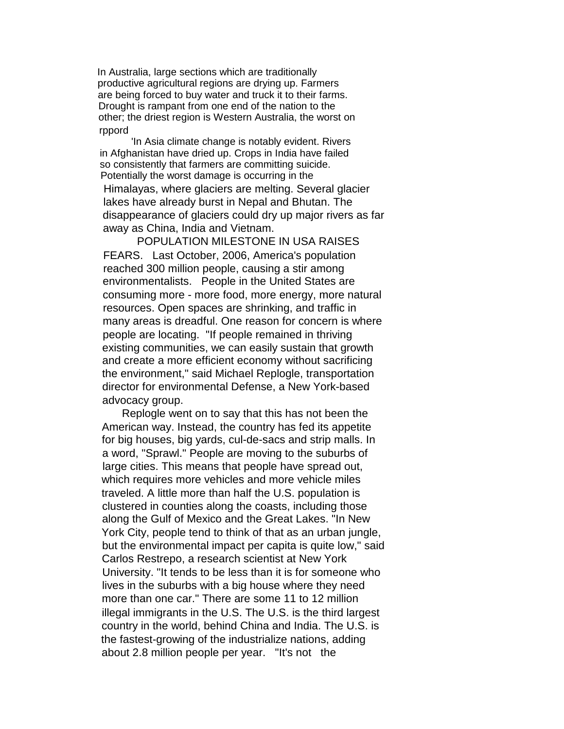In Australia, large sections which are traditionally productive agricultural regions are drying up. Farmers are being forced to buy water and truck it to their farms. Drought is rampant from one end of the nation to the other; the driest region is Western Australia, the worst on rppord

'In Asia climate change is notably evident. Rivers in Afghanistan have dried up. Crops in India have failed so consistently that farmers are committing suicide. Potentially the worst damage is occurring in the Himalayas, where glaciers are melting. Several glacier lakes have already burst in Nepal and Bhutan. The disappearance of glaciers could dry up major rivers as far away as China, India and Vietnam.

POPULATION MILESTONE IN USA RAISES FEARS. Last October, 2006, America's population reached 300 million people, causing a stir among environmentalists. People in the United States are consuming more - more food, more energy, more natural resources. Open spaces are shrinking, and traffic in many areas is dreadful. One reason for concern is where people are locating. "If people remained in thriving existing communities, we can easily sustain that growth and create a more efficient economy without sacrificing the environment," said Michael Replogle, transportation director for environmental Defense, a New York-based advocacy group.

Replogle went on to say that this has not been the American way. Instead, the country has fed its appetite for big houses, big yards, cul-de-sacs and strip malls. In a word, "Sprawl." People are moving to the suburbs of large cities. This means that people have spread out, which requires more vehicles and more vehicle miles traveled. A little more than half the U.S. population is clustered in counties along the coasts, including those along the Gulf of Mexico and the Great Lakes. "In New York City, people tend to think of that as an urban jungle, but the environmental impact per capita is quite low," said Carlos Restrepo, a research scientist at New York University. "It tends to be less than it is for someone who lives in the suburbs with a big house where they need more than one car." There are some 11 to 12 million illegal immigrants in the U.S. The U.S. is the third largest country in the world, behind China and India. The U.S. is the fastest-growing of the industrialize nations, adding about 2.8 million people per year. "It's not the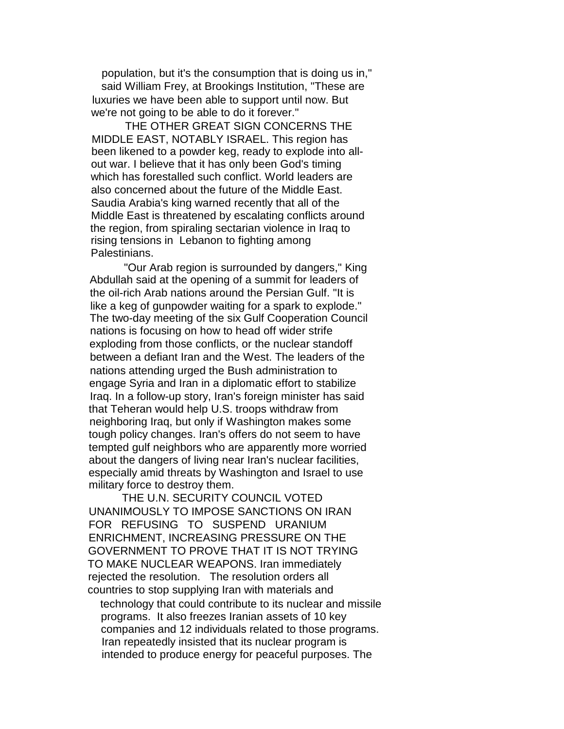population, but it's the consumption that is doing us in," said William Frey, at Brookings Institution, "These are luxuries we have been able to support until now. But we're not going to be able to do it forever."

THE OTHER GREAT SIGN CONCERNS THE MIDDLE EAST, NOTABLY ISRAEL. This region has been likened to a powder keg, ready to explode into allout war. I believe that it has only been God's timing which has forestalled such conflict. World leaders are also concerned about the future of the Middle East. Saudia Arabia's king warned recently that all of the Middle East is threatened by escalating conflicts around the region, from spiraling sectarian violence in Iraq to rising tensions in Lebanon to fighting among Palestinians.

"Our Arab region is surrounded by dangers," King Abdullah said at the opening of a summit for leaders of the oil-rich Arab nations around the Persian Gulf. "It is like a keg of gunpowder waiting for a spark to explode." The two-day meeting of the six Gulf Cooperation Council nations is focusing on how to head off wider strife exploding from those conflicts, or the nuclear standoff between a defiant Iran and the West. The leaders of the nations attending urged the Bush administration to engage Syria and Iran in a diplomatic effort to stabilize Iraq. In a follow-up story, Iran's foreign minister has said that Teheran would help U.S. troops withdraw from neighboring Iraq, but only if Washington makes some tough policy changes. Iran's offers do not seem to have tempted gulf neighbors who are apparently more worried about the dangers of living near Iran's nuclear facilities, especially amid threats by Washington and Israel to use military force to destroy them.

THE U.N. SECURITY COUNCIL VOTED UNANIMOUSLY TO IMPOSE SANCTIONS ON IRAN FOR REFUSING TO SUSPEND URANIUM ENRICHMENT, INCREASING PRESSURE ON THE GOVERNMENT TO PROVE THAT IT IS NOT TRYING TO MAKE NUCLEAR WEAPONS. Iran immediately rejected the resolution. The resolution orders all countries to stop supplying Iran with materials and

technology that could contribute to its nuclear and missile programs. It also freezes Iranian assets of 10 key companies and 12 individuals related to those programs. Iran repeatedly insisted that its nuclear program is intended to produce energy for peaceful purposes. The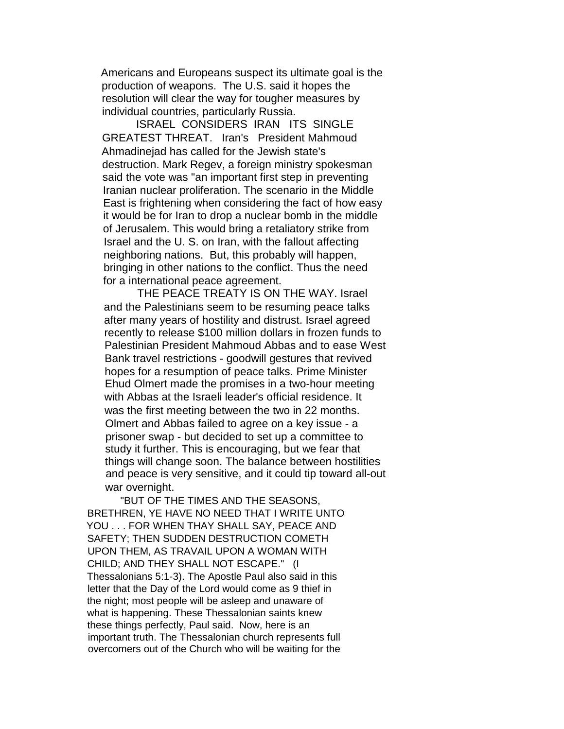Americans and Europeans suspect its ultimate goal is the production of weapons. The U.S. said it hopes the resolution will clear the way for tougher measures by individual countries, particularly Russia.

ISRAEL CONSIDERS IRAN ITS SINGLE GREATEST THREAT. Iran's President Mahmoud Ahmadinejad has called for the Jewish state's destruction. Mark Regev, a foreign ministry spokesman said the vote was "an important first step in preventing Iranian nuclear proliferation. The scenario in the Middle East is frightening when considering the fact of how easy it would be for Iran to drop a nuclear bomb in the middle of Jerusalem. This would bring a retaliatory strike from Israel and the U. S. on Iran, with the fallout affecting neighboring nations. But, this probably will happen, bringing in other nations to the conflict. Thus the need for a international peace agreement.

THE PEACE TREATY IS ON THE WAY. Israel and the Palestinians seem to be resuming peace talks after many years of hostility and distrust. Israel agreed recently to release \$100 million dollars in frozen funds to Palestinian President Mahmoud Abbas and to ease West Bank travel restrictions - goodwill gestures that revived hopes for a resumption of peace talks. Prime Minister Ehud Olmert made the promises in a two-hour meeting with Abbas at the Israeli leader's official residence. It was the first meeting between the two in 22 months. Olmert and Abbas failed to agree on a key issue - a prisoner swap - but decided to set up a committee to study it further. This is encouraging, but we fear that things will change soon. The balance between hostilities and peace is very sensitive, and it could tip toward all-out war overnight.

"BUT OF THE TIMES AND THE SEASONS, BRETHREN, YE HAVE NO NEED THAT I WRITE UNTO YOU . . . FOR WHEN THAY SHALL SAY, PEACE AND SAFETY; THEN SUDDEN DESTRUCTION COMETH UPON THEM, AS TRAVAIL UPON A WOMAN WITH CHILD; AND THEY SHALL NOT ESCAPE." (I Thessalonians 5:1-3). The Apostle Paul also said in this letter that the Day of the Lord would come as 9 thief in the night; most people will be asleep and unaware of what is happening. These Thessalonian saints knew these things perfectly, Paul said. Now, here is an important truth. The Thessalonian church represents full overcomers out of the Church who will be waiting for the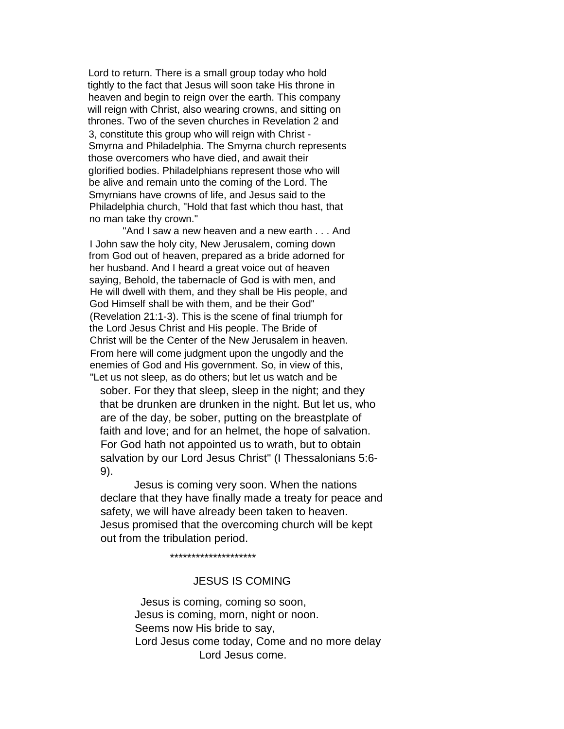Lord to return. There is a small group today who hold tightly to the fact that Jesus will soon take His throne in heaven and begin to reign over the earth. This company will reign with Christ, also wearing crowns, and sitting on thrones. Two of the seven churches in Revelation 2 and 3, constitute this group who will reign with Christ - Smyrna and Philadelphia. The Smyrna church represents those overcomers who have died, and await their glorified bodies. Philadelphians represent those who will be alive and remain unto the coming of the Lord. The Smyrnians have crowns of life, and Jesus said to the Philadelphia church, "Hold that fast which thou hast, that no man take thy crown."

"And I saw a new heaven and a new earth . . . And I John saw the holy city, New Jerusalem, coming down from God out of heaven, prepared as a bride adorned for her husband. And I heard a great voice out of heaven saying, Behold, the tabernacle of God is with men, and He will dwell with them, and they shall be His people, and God Himself shall be with them, and be their God" (Revelation 21:1-3). This is the scene of final triumph for the Lord Jesus Christ and His people. The Bride of Christ will be the Center of the New Jerusalem in heaven. From here will come judgment upon the ungodly and the enemies of God and His government. So, in view of this, "Let us not sleep, as do others; but let us watch and be

sober. For they that sleep, sleep in the night; and they that be drunken are drunken in the night. But let us, who are of the day, be sober, putting on the breastplate of faith and love; and for an helmet, the hope of salvation. For God hath not appointed us to wrath, but to obtain salvation by our Lord Jesus Christ" (I Thessalonians 5:6- 9).

Jesus is coming very soon. When the nations declare that they have finally made a treaty for peace and safety, we will have already been taken to heaven. Jesus promised that the overcoming church will be kept out from the tribulation period.

\*\*\*\*\*\*\*\*\*\*\*\*\*\*\*\*\*\*\*\*

### JESUS IS COMING

Jesus is coming, coming so soon, Jesus is coming, morn, night or noon. Seems now His bride to say, Lord Jesus come today, Come and no more delay Lord Jesus come.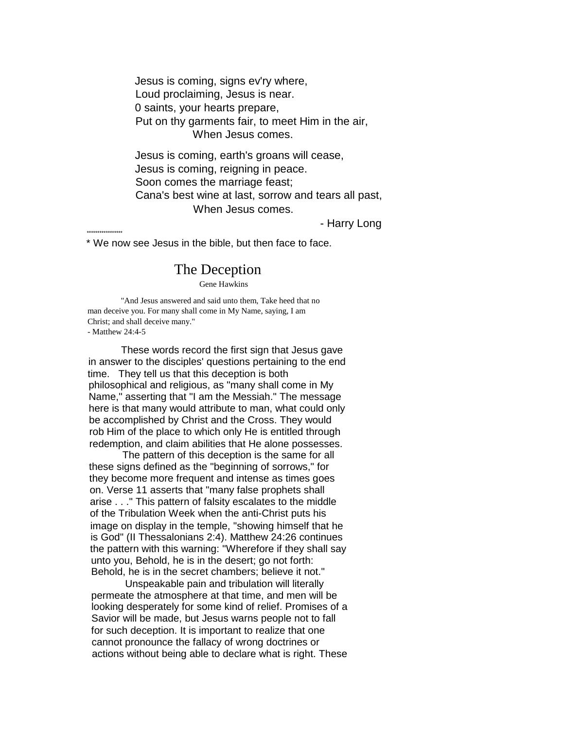Jesus is coming, signs ev'ry where, Loud proclaiming, Jesus is near. 0 saints, your hearts prepare, Put on thy garments fair, to meet Him in the air, When Jesus comes.

Jesus is coming, earth's groans will cease, Jesus is coming, reigning in peace. Soon comes the marriage feast; Cana's best wine at last, sorrow and tears all past, When Jesus comes.

- Harry Long

\* We now see Jesus in the bible, but then face to face.

\*\*\*\*\*\*\*\*\*\*\*\*\*\*\*\*

## The Deception

Gene Hawkins

"And Jesus answered and said unto them, Take heed that no man deceive you. For many shall come in My Name, saying, I am Christ; and shall deceive many." - Matthew 24:4-5

These words record the first sign that Jesus gave in answer to the disciples' questions pertaining to the end time. They tell us that this deception is both philosophical and religious, as "many shall come in My Name," asserting that "I am the Messiah." The message here is that many would attribute to man, what could only be accomplished by Christ and the Cross. They would rob Him of the place to which only He is entitled through redemption, and claim abilities that He alone possesses.

The pattern of this deception is the same for all these signs defined as the "beginning of sorrows," for they become more frequent and intense as times goes on. Verse 11 asserts that "many false prophets shall arise . . ." This pattern of falsity escalates to the middle of the Tribulation Week when the anti-Christ puts his image on display in the temple, "showing himself that he is God" (II Thessalonians 2:4). Matthew 24:26 continues the pattern with this warning: "Wherefore if they shall say unto you, Behold, he is in the desert; go not forth: Behold, he is in the secret chambers; believe it not."

Unspeakable pain and tribulation will literally permeate the atmosphere at that time, and men will be looking desperately for some kind of relief. Promises of a Savior will be made, but Jesus warns people not to fall for such deception. It is important to realize that one cannot pronounce the fallacy of wrong doctrines or actions without being able to declare what is right. These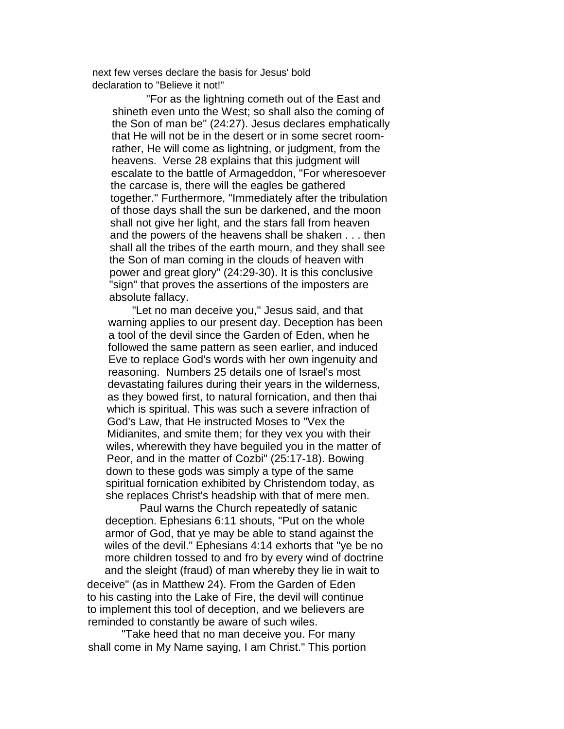next few verses declare the basis for Jesus' bold declaration to "Believe it not!"

"For as the lightning cometh out of the East and shineth even unto the West; so shall also the coming of the Son of man be" (24:27). Jesus declares emphatically that He will not be in the desert or in some secret roomrather, He will come as lightning, or judgment, from the heavens. Verse 28 explains that this judgment will escalate to the battle of Armageddon, "For wheresoever the carcase is, there will the eagles be gathered together." Furthermore, "Immediately after the tribulation of those days shall the sun be darkened, and the moon shall not give her light, and the stars fall from heaven and the powers of the heavens shall be shaken . . . then shall all the tribes of the earth mourn, and they shall see the Son of man coming in the clouds of heaven with power and great glory" (24:29-30). It is this conclusive "sign" that proves the assertions of the imposters are absolute fallacy.

"Let no man deceive you," Jesus said, and that warning applies to our present day. Deception has been a tool of the devil since the Garden of Eden, when he followed the same pattern as seen earlier, and induced Eve to replace God's words with her own ingenuity and reasoning. Numbers 25 details one of Israel's most devastating failures during their years in the wilderness, as they bowed first, to natural fornication, and then thai which is spiritual. This was such a severe infraction of God's Law, that He instructed Moses to "Vex the Midianites, and smite them; for they vex you with their wiles, wherewith they have beguiled you in the matter of Peor, and in the matter of Cozbi" (25:17-18). Bowing down to these gods was simply a type of the same spiritual fornication exhibited by Christendom today, as she replaces Christ's headship with that of mere men.

Paul warns the Church repeatedly of satanic deception. Ephesians 6:11 shouts, "Put on the whole armor of God, that ye may be able to stand against the wiles of the devil." Ephesians 4:14 exhorts that "ye be no more children tossed to and fro by every wind of doctrine and the sleight (fraud) of man whereby they lie in wait to deceive" (as in Matthew 24). From the Garden of Eden to his casting into the Lake of Fire, the devil will continue to implement this tool of deception, and we believers are reminded to constantly be aware of such wiles.

"Take heed that no man deceive you. For many shall come in My Name saying, I am Christ." This portion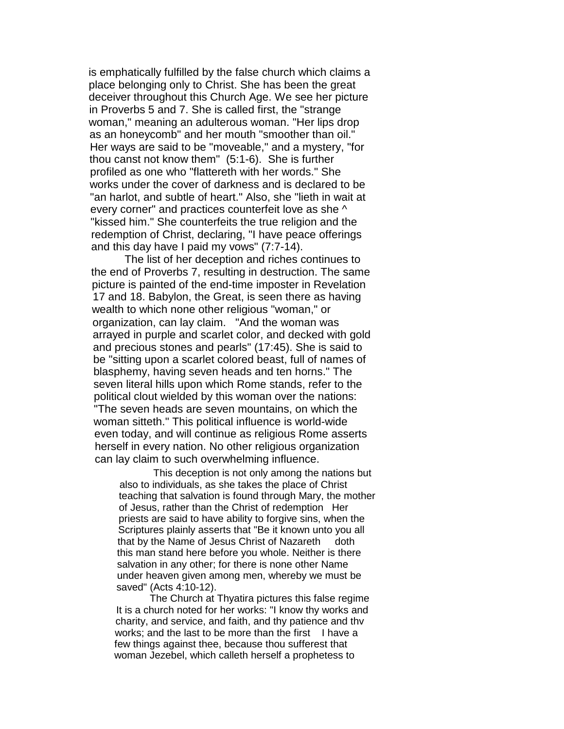is emphatically fulfilled by the false church which claims a place belonging only to Christ. She has been the great deceiver throughout this Church Age. We see her picture in Proverbs 5 and 7. She is called first, the "strange woman," meaning an adulterous woman. "Her lips drop as an honeycomb" and her mouth "smoother than oil." Her ways are said to be "moveable," and a mystery, "for thou canst not know them" (5:1-6). She is further profiled as one who "flattereth with her words." She works under the cover of darkness and is declared to be "an harlot, and subtle of heart." Also, she "lieth in wait at every corner" and practices counterfeit love as she ^ "kissed him." She counterfeits the true religion and the redemption of Christ, declaring, "I have peace offerings and this day have I paid my vows" (7:7-14).

The list of her deception and riches continues to the end of Proverbs 7, resulting in destruction. The same picture is painted of the end-time imposter in Revelation 17 and 18. Babylon, the Great, is seen there as having wealth to which none other religious "woman," or organization, can lay claim. "And the woman was arrayed in purple and scarlet color, and decked with gold and precious stones and pearls" (17:45). She is said to be "sitting upon a scarlet colored beast, full of names of blasphemy, having seven heads and ten horns." The seven literal hills upon which Rome stands, refer to the political clout wielded by this woman over the nations: "The seven heads are seven mountains, on which the woman sitteth." This political influence is world-wide even today, and will continue as religious Rome asserts herself in every nation. No other religious organization can lay claim to such overwhelming influence.

This deception is not only among the nations but also to individuals, as she takes the place of Christ teaching that salvation is found through Mary, the mother of Jesus, rather than the Christ of redemption Her priests are said to have ability to forgive sins, when the Scriptures plainly asserts that "Be it known unto you all that by the Name of Jesus Christ of Nazareth doth this man stand here before you whole. Neither is there salvation in any other; for there is none other Name under heaven given among men, whereby we must be saved" (Acts 4:10-12).

The Church at Thyatira pictures this false regime It is a church noted for her works: "I know thy works and charity, and service, and faith, and thy patience and thv works; and the last to be more than the first I have a few things against thee, because thou sufferest that woman Jezebel, which calleth herself a prophetess to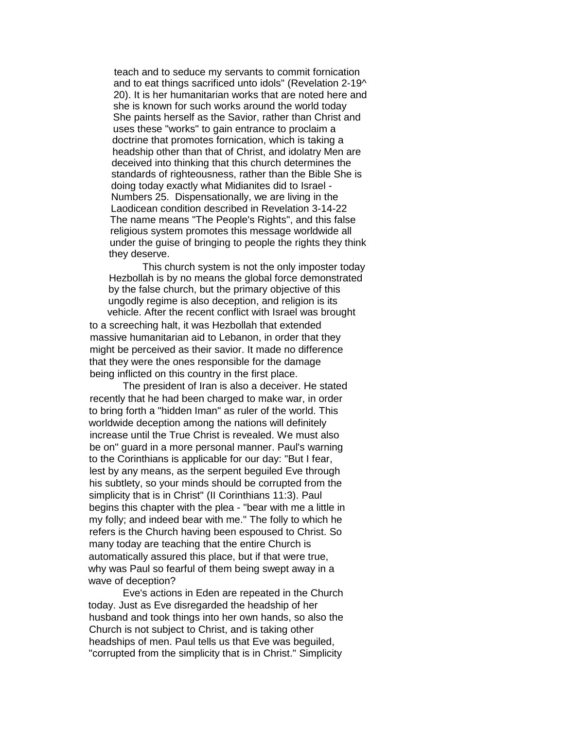teach and to seduce my servants to commit fornication and to eat things sacrificed unto idols" (Revelation 2-19^ 20). It is her humanitarian works that are noted here and she is known for such works around the world today She paints herself as the Savior, rather than Christ and uses these "works" to gain entrance to proclaim a doctrine that promotes fornication, which is taking a headship other than that of Christ, and idolatry Men are deceived into thinking that this church determines the standards of righteousness, rather than the Bible She is doing today exactly what Midianites did to Israel - Numbers 25. Dispensationally, we are living in the Laodicean condition described in Revelation 3-14-22 The name means "The People's Rights", and this false religious system promotes this message worldwide all under the guise of bringing to people the rights they think they deserve.

This church system is not the only imposter today Hezbollah is by no means the global force demonstrated by the false church, but the primary objective of this ungodly regime is also deception, and religion is its vehicle. After the recent conflict with Israel was brought

to a screeching halt, it was Hezbollah that extended massive humanitarian aid to Lebanon, in order that they might be perceived as their savior. It made no difference that they were the ones responsible for the damage being inflicted on this country in the first place.

The president of Iran is also a deceiver. He stated recently that he had been charged to make war, in order to bring forth a "hidden Iman" as ruler of the world. This worldwide deception among the nations will definitely increase until the True Christ is revealed. We must also be on" guard in a more personal manner. Paul's warning to the Corinthians is applicable for our day: "But I fear, lest by any means, as the serpent beguiled Eve through his subtlety, so your minds should be corrupted from the simplicity that is in Christ" (II Corinthians 11:3). Paul begins this chapter with the plea - "bear with me a little in my folly; and indeed bear with me." The folly to which he refers is the Church having been espoused to Christ. So many today are teaching that the entire Church is automatically assured this place, but if that were true, why was Paul so fearful of them being swept away in a wave of deception?

Eve's actions in Eden are repeated in the Church today. Just as Eve disregarded the headship of her husband and took things into her own hands, so also the Church is not subject to Christ, and is taking other headships of men. Paul tells us that Eve was beguiled, "corrupted from the simplicity that is in Christ." Simplicity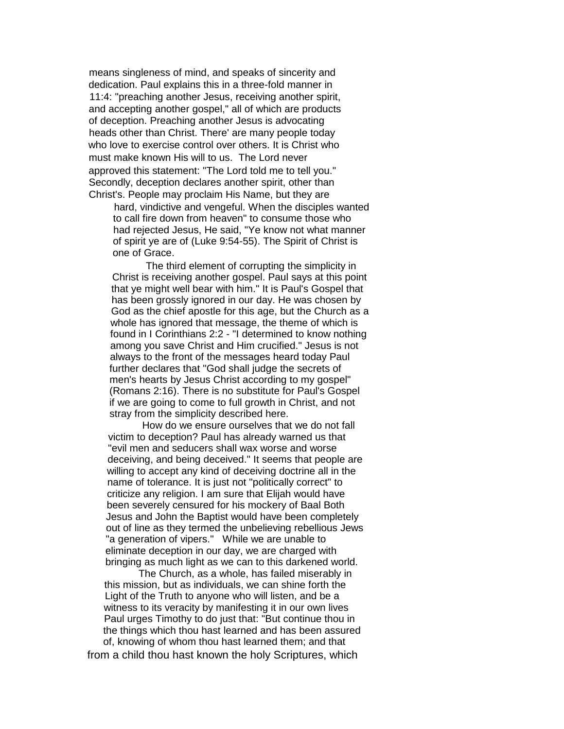means singleness of mind, and speaks of sincerity and dedication. Paul explains this in a three-fold manner in 11:4: "preaching another Jesus, receiving another spirit, and accepting another gospel," all of which are products of deception. Preaching another Jesus is advocating heads other than Christ. There' are many people today who love to exercise control over others. It is Christ who must make known His will to us. The Lord never approved this statement: "The Lord told me to tell you." Secondly, deception declares another spirit, other than Christ's. People may proclaim His Name, but they are

hard, vindictive and vengeful. When the disciples wanted to call fire down from heaven" to consume those who had rejected Jesus, He said, "Ye know not what manner of spirit ye are of (Luke 9:54-55). The Spirit of Christ is one of Grace.

The third element of corrupting the simplicity in Christ is receiving another gospel. Paul says at this point that ye might well bear with him." It is Paul's Gospel that has been grossly ignored in our day. He was chosen by God as the chief apostle for this age, but the Church as a whole has ignored that message, the theme of which is found in I Corinthians 2:2 - "I determined to know nothing among you save Christ and Him crucified." Jesus is not always to the front of the messages heard today Paul further declares that "God shall judge the secrets of men's hearts by Jesus Christ according to my gospel" (Romans 2:16). There is no substitute for Paul's Gospel if we are going to come to full growth in Christ, and not stray from the simplicity described here.

How do we ensure ourselves that we do not fall victim to deception? Paul has already warned us that "evil men and seducers shall wax worse and worse deceiving, and being deceived." It seems that people are willing to accept any kind of deceiving doctrine all in the name of tolerance. It is just not "politically correct" to criticize any religion. I am sure that Elijah would have been severely censured for his mockery of Baal Both Jesus and John the Baptist would have been completely out of line as they termed the unbelieving rebellious Jews "a generation of vipers." While we are unable to eliminate deception in our day, we are charged with bringing as much light as we can to this darkened world.

The Church, as a whole, has failed miserably in this mission, but as individuals, we can shine forth the Light of the Truth to anyone who will listen, and be a witness to its veracity by manifesting it in our own lives Paul urges Timothy to do just that: "But continue thou in the things which thou hast learned and has been assured of, knowing of whom thou hast learned them; and that

from a child thou hast known the holy Scriptures, which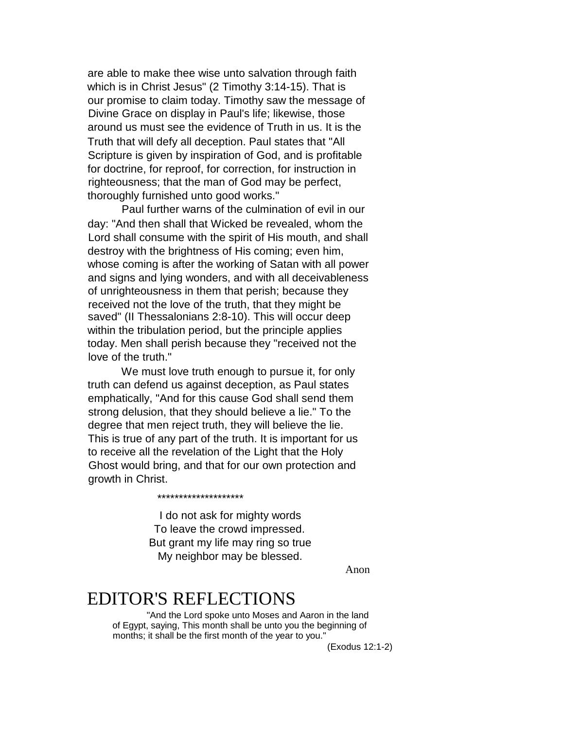are able to make thee wise unto salvation through faith which is in Christ Jesus" (2 Timothy 3:14-15). That is our promise to claim today. Timothy saw the message of Divine Grace on display in Paul's life; likewise, those around us must see the evidence of Truth in us. It is the Truth that will defy all deception. Paul states that "All Scripture is given by inspiration of God, and is profitable for doctrine, for reproof, for correction, for instruction in righteousness; that the man of God may be perfect, thoroughly furnished unto good works."

Paul further warns of the culmination of evil in our day: "And then shall that Wicked be revealed, whom the Lord shall consume with the spirit of His mouth, and shall destroy with the brightness of His coming; even him, whose coming is after the working of Satan with all power and signs and lying wonders, and with all deceivableness of unrighteousness in them that perish; because they received not the love of the truth, that they might be saved" (II Thessalonians 2:8-10). This will occur deep within the tribulation period, but the principle applies today. Men shall perish because they "received not the love of the truth."

We must love truth enough to pursue it, for only truth can defend us against deception, as Paul states emphatically, "And for this cause God shall send them strong delusion, that they should believe a lie." To the degree that men reject truth, they will believe the lie. This is true of any part of the truth. It is important for us to receive all the revelation of the Light that the Holy Ghost would bring, and that for our own protection and growth in Christ.

> I do not ask for mighty words To leave the crowd impressed. But grant my life may ring so true My neighbor may be blessed.

> > Anon

# EDITOR'S REFLECTIONS

\*\*\*\*\*\*\*\*\*\*\*\*\*\*\*\*\*\*\*\*

"And the Lord spoke unto Moses and Aaron in the land of Egypt, saying, This month shall be unto you the beginning of months; it shall be the first month of the year to you."

(Exodus 12:1-2)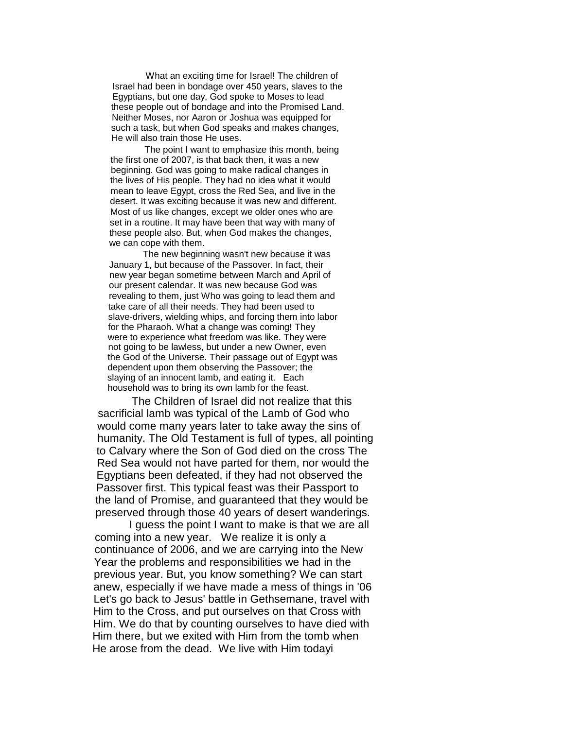What an exciting time for Israel! The children of Israel had been in bondage over 450 years, slaves to the Egyptians, but one day, God spoke to Moses to lead these people out of bondage and into the Promised Land. Neither Moses, nor Aaron or Joshua was equipped for such a task, but when God speaks and makes changes, He will also train those He uses.

The point I want to emphasize this month, being the first one of 2007, is that back then, it was a new beginning. God was going to make radical changes in the lives of His people. They had no idea what it would mean to leave Egypt, cross the Red Sea, and live in the desert. It was exciting because it was new and different. Most of us like changes, except we older ones who are set in a routine. It may have been that way with many of these people also. But, when God makes the changes, we can cope with them.

The new beginning wasn't new because it was January 1, but because of the Passover. In fact, their new year began sometime between March and April of our present calendar. It was new because God was revealing to them, just Who was going to lead them and take care of all their needs. They had been used to slave-drivers, wielding whips, and forcing them into labor for the Pharaoh. What a change was coming! They were to experience what freedom was like. They were not going to be lawless, but under a new Owner, even the God of the Universe. Their passage out of Egypt was dependent upon them observing the Passover; the slaying of an innocent lamb, and eating it. Each household was to bring its own lamb for the feast.

The Children of Israel did not realize that this sacrificial lamb was typical of the Lamb of God who would come many years later to take away the sins of humanity. The Old Testament is full of types, all pointing to Calvary where the Son of God died on the cross The Red Sea would not have parted for them, nor would the Egyptians been defeated, if they had not observed the Passover first. This typical feast was their Passport to the land of Promise, and guaranteed that they would be preserved through those 40 years of desert wanderings.

I guess the point I want to make is that we are all coming into a new year. We realize it is only a continuance of 2006, and we are carrying into the New Year the problems and responsibilities we had in the previous year. But, you know something? We can start anew, especially if we have made a mess of things in '06 Let's go back to Jesus' battle in Gethsemane, travel with Him to the Cross, and put ourselves on that Cross with Him. We do that by counting ourselves to have died with Him there, but we exited with Him from the tomb when He arose from the dead. We live with Him todayi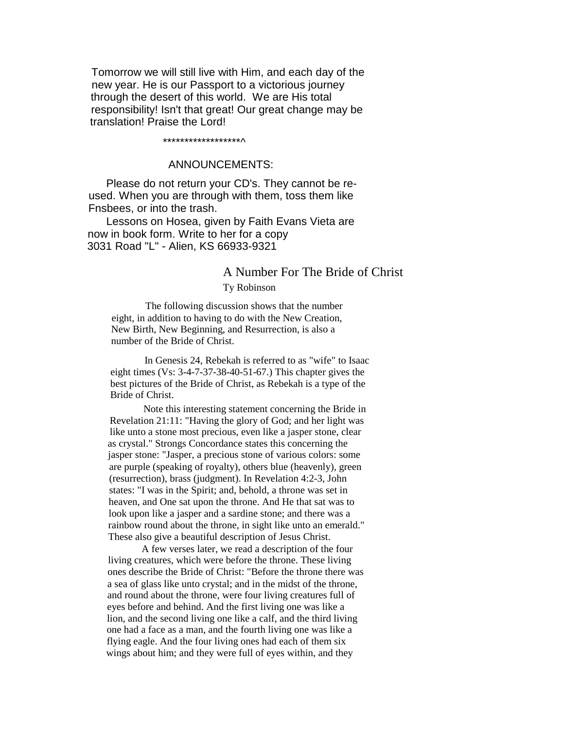Tomorrow we will still live with Him, and each day of the new year. He is our Passport to a victorious journey through the desert of this world. We are His total responsibility! Isn't that great! Our great change may be translation! Praise the Lord!

#### \*\*\*\*\*\*\*\*\*\*\*\*\*\*\*\*\*\*^

### ANNOUNCEMENTS:

Please do not return your CD's. They cannot be reused. When you are through with them, toss them like Fnsbees, or into the trash.

Lessons on Hosea, given by Faith Evans Vieta are now in book form. Write to her for a copy 3031 Road "L" - Alien, KS 66933-9321

## A Number For The Bride of Christ

#### Ty Robinson

The following discussion shows that the number eight, in addition to having to do with the New Creation, New Birth, New Beginning, and Resurrection, is also a number of the Bride of Christ.

In Genesis 24, Rebekah is referred to as "wife" to Isaac eight times (Vs: 3-4-7-37-38-40-51-67.) This chapter gives the best pictures of the Bride of Christ, as Rebekah is a type of the Bride of Christ.

Note this interesting statement concerning the Bride in Revelation 21:11: "Having the glory of God; and her light was like unto a stone most precious, even like a jasper stone, clear as crystal." Strongs Concordance states this concerning the jasper stone: "Jasper, a precious stone of various colors: some are purple (speaking of royalty), others blue (heavenly), green (resurrection), brass (judgment). In Revelation 4:2-3, John states: "I was in the Spirit; and, behold, a throne was set in heaven, and One sat upon the throne. And He that sat was to look upon like a jasper and a sardine stone; and there was a rainbow round about the throne, in sight like unto an emerald." These also give a beautiful description of Jesus Christ.

A few verses later, we read a description of the four living creatures, which were before the throne. These living ones describe the Bride of Christ: "Before the throne there was a sea of glass like unto crystal; and in the midst of the throne, and round about the throne, were four living creatures full of eyes before and behind. And the first living one was like a lion, and the second living one like a calf, and the third living one had a face as a man, and the fourth living one was like a flying eagle. And the four living ones had each of them six wings about him; and they were full of eyes within, and they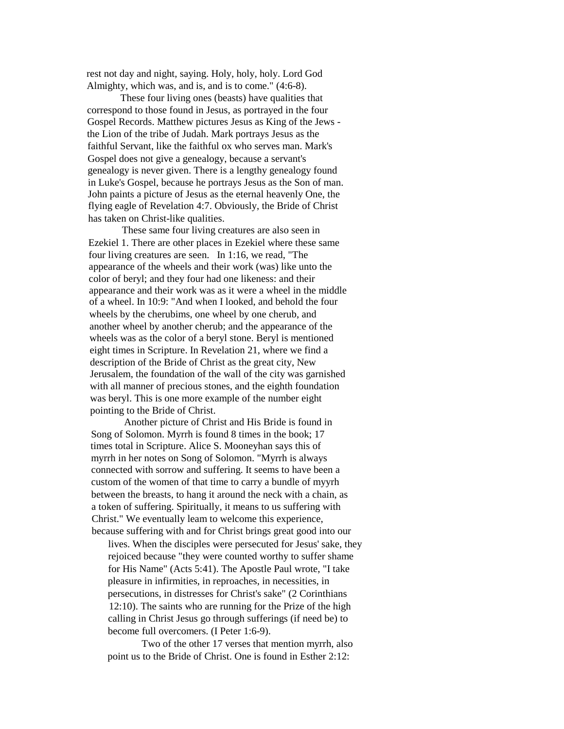rest not day and night, saying. Holy, holy, holy. Lord God Almighty, which was, and is, and is to come." (4:6-8).

These four living ones (beasts) have qualities that correspond to those found in Jesus, as portrayed in the four Gospel Records. Matthew pictures Jesus as King of the Jews the Lion of the tribe of Judah. Mark portrays Jesus as the faithful Servant, like the faithful ox who serves man. Mark's Gospel does not give a genealogy, because a servant's genealogy is never given. There is a lengthy genealogy found in Luke's Gospel, because he portrays Jesus as the Son of man. John paints a picture of Jesus as the eternal heavenly One, the flying eagle of Revelation 4:7. Obviously, the Bride of Christ has taken on Christ-like qualities.

These same four living creatures are also seen in Ezekiel 1. There are other places in Ezekiel where these same four living creatures are seen. In 1:16, we read, "The appearance of the wheels and their work (was) like unto the color of beryl; and they four had one likeness: and their appearance and their work was as it were a wheel in the middle of a wheel. In 10:9: "And when I looked, and behold the four wheels by the cherubims, one wheel by one cherub, and another wheel by another cherub; and the appearance of the wheels was as the color of a beryl stone. Beryl is mentioned eight times in Scripture. In Revelation 21, where we find a description of the Bride of Christ as the great city, New Jerusalem, the foundation of the wall of the city was garnished with all manner of precious stones, and the eighth foundation was beryl. This is one more example of the number eight pointing to the Bride of Christ.

Another picture of Christ and His Bride is found in Song of Solomon. Myrrh is found 8 times in the book; 17 times total in Scripture. Alice S. Mooneyhan says this of myrrh in her notes on Song of Solomon. "Myrrh is always connected with sorrow and suffering. It seems to have been a custom of the women of that time to carry a bundle of myyrh between the breasts, to hang it around the neck with a chain, as a token of suffering. Spiritually, it means to us suffering with Christ." We eventually leam to welcome this experience, because suffering with and for Christ brings great good into our

lives. When the disciples were persecuted for Jesus' sake, they rejoiced because "they were counted worthy to suffer shame for His Name" (Acts 5:41). The Apostle Paul wrote, "I take pleasure in infirmities, in reproaches, in necessities, in persecutions, in distresses for Christ's sake" (2 Corinthians 12:10). The saints who are running for the Prize of the high calling in Christ Jesus go through sufferings (if need be) to become full overcomers. (I Peter 1:6-9).

Two of the other 17 verses that mention myrrh, also point us to the Bride of Christ. One is found in Esther 2:12: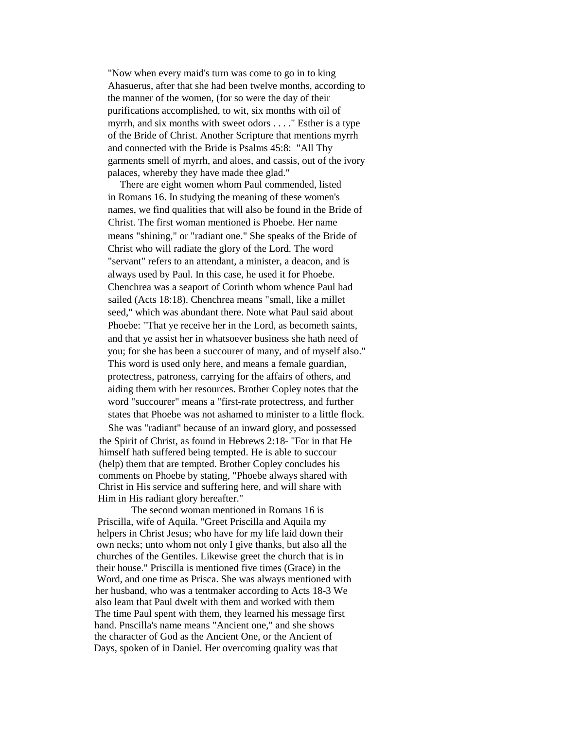"Now when every maid's turn was come to go in to king Ahasuerus, after that she had been twelve months, according to the manner of the women, (for so were the day of their purifications accomplished, to wit, six months with oil of myrrh, and six months with sweet odors . . . ." Esther is a type of the Bride of Christ. Another Scripture that mentions myrrh and connected with the Bride is Psalms 45:8: "All Thy garments smell of myrrh, and aloes, and cassis, out of the ivory palaces, whereby they have made thee glad."

There are eight women whom Paul commended, listed in Romans 16. In studying the meaning of these women's names, we find qualities that will also be found in the Bride of Christ. The first woman mentioned is Phoebe. Her name means "shining," or "radiant one." She speaks of the Bride of Christ who will radiate the glory of the Lord. The word "servant" refers to an attendant, a minister, a deacon, and is always used by Paul. In this case, he used it for Phoebe. Chenchrea was a seaport of Corinth whom whence Paul had sailed (Acts 18:18). Chenchrea means "small, like a millet seed," which was abundant there. Note what Paul said about Phoebe: "That ye receive her in the Lord, as becometh saints, and that ye assist her in whatsoever business she hath need of you; for she has been a succourer of many, and of myself also." This word is used only here, and means a female guardian, protectress, patroness, carrying for the affairs of others, and aiding them with her resources. Brother Copley notes that the word "succourer" means a "first-rate protectress, and further states that Phoebe was not ashamed to minister to a little flock.

She was "radiant" because of an inward glory, and possessed the Spirit of Christ, as found in Hebrews 2:18- "For in that He himself hath suffered being tempted. He is able to succour (help) them that are tempted. Brother Copley concludes his comments on Phoebe by stating, "Phoebe always shared with Christ in His service and suffering here, and will share with Him in His radiant glory hereafter."

The second woman mentioned in Romans 16 is Priscilla, wife of Aquila. "Greet Priscilla and Aquila my helpers in Christ Jesus; who have for my life laid down their own necks; unto whom not only I give thanks, but also all the churches of the Gentiles. Likewise greet the church that is in their house." Priscilla is mentioned five times (Grace) in the Word, and one time as Prisca. She was always mentioned with her husband, who was a tentmaker according to Acts 18-3 We also leam that Paul dwelt with them and worked with them The time Paul spent with them, they learned his message first hand. Pnscilla's name means "Ancient one," and she shows the character of God as the Ancient One, or the Ancient of Days, spoken of in Daniel. Her overcoming quality was that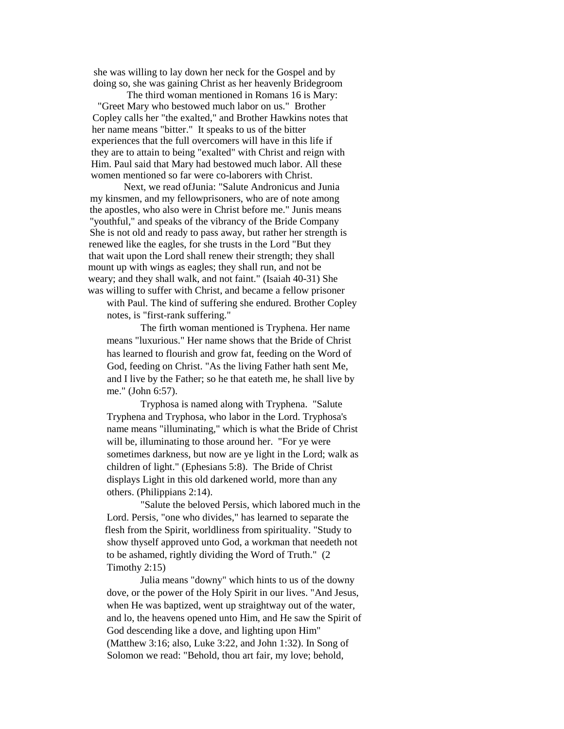she was willing to lay down her neck for the Gospel and by doing so, she was gaining Christ as her heavenly Bridegroom

The third woman mentioned in Romans 16 is Mary: "Greet Mary who bestowed much labor on us." Brother Copley calls her "the exalted," and Brother Hawkins notes that her name means "bitter." It speaks to us of the bitter experiences that the full overcomers will have in this life if they are to attain to being "exalted" with Christ and reign with Him. Paul said that Mary had bestowed much labor. All these women mentioned so far were co-laborers with Christ.

Next, we read ofJunia: "Salute Andronicus and Junia my kinsmen, and my fellowprisoners, who are of note among the apostles, who also were in Christ before me." Junis means "youthful," and speaks of the vibrancy of the Bride Company She is not old and ready to pass away, but rather her strength is renewed like the eagles, for she trusts in the Lord "But they that wait upon the Lord shall renew their strength; they shall mount up with wings as eagles; they shall run, and not be weary; and they shall walk, and not faint." (Isaiah 40-31) She was willing to suffer with Christ, and became a fellow prisoner

with Paul. The kind of suffering she endured. Brother Copley notes, is "first-rank suffering."

The firth woman mentioned is Tryphena. Her name means "luxurious." Her name shows that the Bride of Christ has learned to flourish and grow fat, feeding on the Word of God, feeding on Christ. "As the living Father hath sent Me, and I live by the Father; so he that eateth me, he shall live by me." (John 6:57).

Tryphosa is named along with Tryphena. "Salute Tryphena and Tryphosa, who labor in the Lord. Tryphosa's name means "illuminating," which is what the Bride of Christ will be, illuminating to those around her. "For ye were sometimes darkness, but now are ye light in the Lord; walk as children of light." (Ephesians 5:8). The Bride of Christ displays Light in this old darkened world, more than any others. (Philippians 2:14).

"Salute the beloved Persis, which labored much in the Lord. Persis, "one who divides," has learned to separate the flesh from the Spirit, worldliness from spirituality. "Study to show thyself approved unto God, a workman that needeth not to be ashamed, rightly dividing the Word of Truth." (2 Timothy 2:15)

Julia means "downy" which hints to us of the downy dove, or the power of the Holy Spirit in our lives. "And Jesus, when He was baptized, went up straightway out of the water, and lo, the heavens opened unto Him, and He saw the Spirit of God descending like a dove, and lighting upon Him" (Matthew 3:16; also, Luke 3:22, and John 1:32). In Song of Solomon we read: "Behold, thou art fair, my love; behold,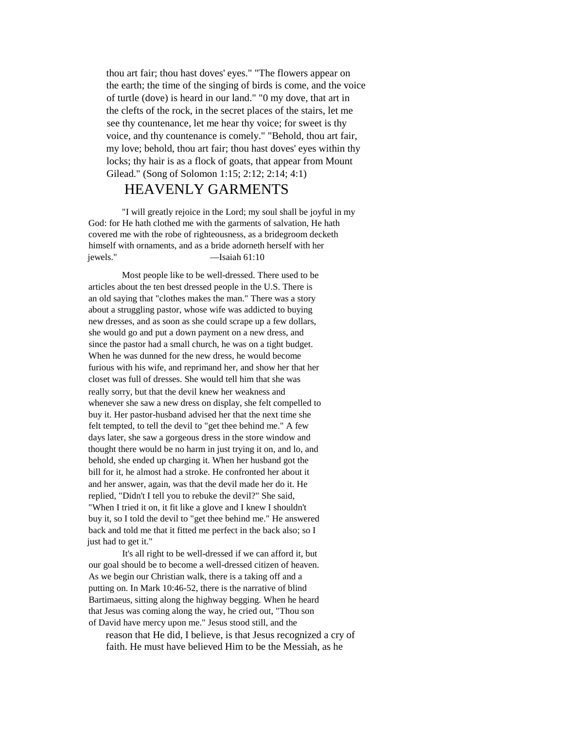thou art fair; thou hast doves' eyes." "The flowers appear on the earth; the time of the singing of birds is come, and the voice of turtle (dove) is heard in our land." "0 my dove, that art in the clefts of the rock, in the secret places of the stairs, let me see thy countenance, let me hear thy voice; for sweet is thy voice, and thy countenance is comely." "Behold, thou art fair, my love; behold, thou art fair; thou hast doves' eyes within thy locks; thy hair is as a flock of goats, that appear from Mount Gilead." (Song of Solomon 1:15; 2:12; 2:14; 4:1)

## HEAVENLY GARMENTS

"I will greatly rejoice in the Lord; my soul shall be joyful in my God: for He hath clothed me with the garments of salvation, He hath covered me with the robe of righteousness, as a bridegroom decketh himself with ornaments, and as a bride adorneth herself with her jewels." —Isaiah 61:10

Most people like to be well-dressed. There used to be articles about the ten best dressed people in the U.S. There is an old saying that "clothes makes the man." There was a story about a struggling pastor, whose wife was addicted to buying new dresses, and as soon as she could scrape up a few dollars, she would go and put a down payment on a new dress, and since the pastor had a small church, he was on a tight budget. When he was dunned for the new dress, he would become furious with his wife, and reprimand her, and show her that her closet was full of dresses. She would tell him that she was really sorry, but that the devil knew her weakness and whenever she saw a new dress on display, she felt compelled to buy it. Her pastor-husband advised her that the next time she felt tempted, to tell the devil to "get thee behind me." A few days later, she saw a gorgeous dress in the store window and thought there would be no harm in just trying it on, and lo, and behold, she ended up charging it. When her husband got the bill for it, he almost had a stroke. He confronted her about it and her answer, again, was that the devil made her do it. He replied, "Didn't I tell you to rebuke the devil?" She said, "When I tried it on, it fit like a glove and I knew I shouldn't buy it, so I told the devil to "get thee behind me." He answered back and told me that it fitted me perfect in the back also; so I just had to get it."

It's all right to be well-dressed if we can afford it, but our goal should be to become a well-dressed citizen of heaven. As we begin our Christian walk, there is a taking off and a putting on. In Mark 10:46-52, there is the narrative of blind Bartimaeus, sitting along the highway begging. When he heard that Jesus was coming along the way, he cried out, "Thou son of David have mercy upon me." Jesus stood still, and the

reason that He did, I believe, is that Jesus recognized a cry of faith. He must have believed Him to be the Messiah, as he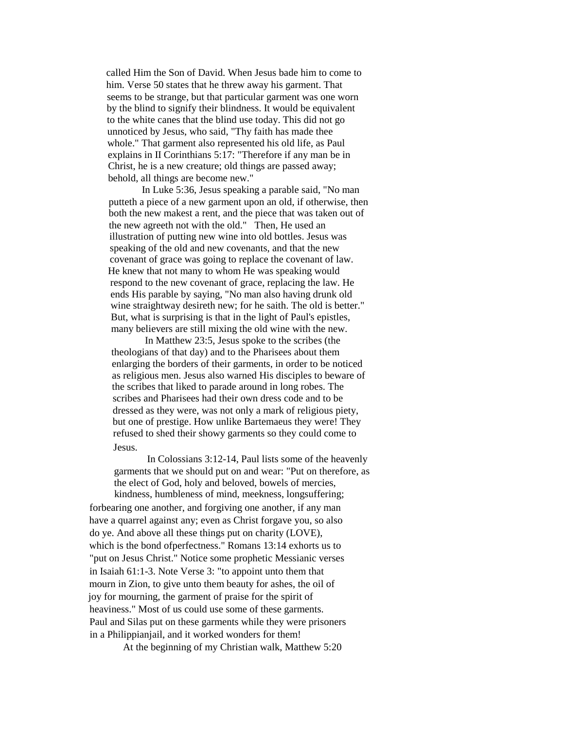called Him the Son of David. When Jesus bade him to come to him. Verse 50 states that he threw away his garment. That seems to be strange, but that particular garment was one worn by the blind to signify their blindness. It would be equivalent to the white canes that the blind use today. This did not go unnoticed by Jesus, who said, "Thy faith has made thee whole." That garment also represented his old life, as Paul explains in II Corinthians 5:17: "Therefore if any man be in Christ, he is a new creature; old things are passed away; behold, all things are become new."

In Luke 5:36, Jesus speaking a parable said, "No man putteth a piece of a new garment upon an old, if otherwise, then both the new makest a rent, and the piece that was taken out of the new agreeth not with the old." Then, He used an illustration of putting new wine into old bottles. Jesus was speaking of the old and new covenants, and that the new covenant of grace was going to replace the covenant of law. He knew that not many to whom He was speaking would respond to the new covenant of grace, replacing the law. He ends His parable by saying, "No man also having drunk old wine straightway desireth new; for he saith. The old is better." But, what is surprising is that in the light of Paul's epistles, many believers are still mixing the old wine with the new.

In Matthew 23:5, Jesus spoke to the scribes (the theologians of that day) and to the Pharisees about them enlarging the borders of their garments, in order to be noticed as religious men. Jesus also warned His disciples to beware of the scribes that liked to parade around in long robes. The scribes and Pharisees had their own dress code and to be dressed as they were, was not only a mark of religious piety, but one of prestige. How unlike Bartemaeus they were! They refused to shed their showy garments so they could come to Jesus.

In Colossians 3:12-14, Paul lists some of the heavenly garments that we should put on and wear: "Put on therefore, as the elect of God, holy and beloved, bowels of mercies, kindness, humbleness of mind, meekness, longsuffering;

forbearing one another, and forgiving one another, if any man have a quarrel against any; even as Christ forgave you, so also do ye. And above all these things put on charity (LOVE), which is the bond ofperfectness." Romans 13:14 exhorts us to "put on Jesus Christ." Notice some prophetic Messianic verses in Isaiah 61:1-3. Note Verse 3: "to appoint unto them that mourn in Zion, to give unto them beauty for ashes, the oil of joy for mourning, the garment of praise for the spirit of heaviness." Most of us could use some of these garments. Paul and Silas put on these garments while they were prisoners in a Philippianjail, and it worked wonders for them!

At the beginning of my Christian walk, Matthew 5:20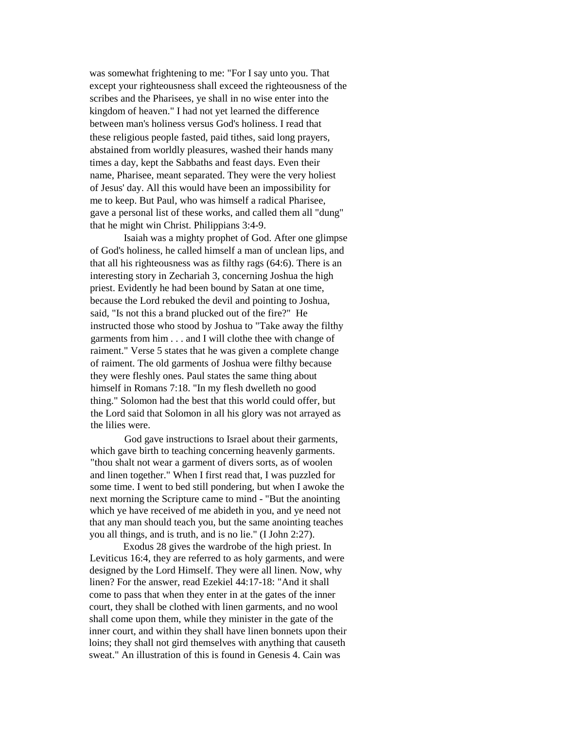was somewhat frightening to me: "For I say unto you. That except your righteousness shall exceed the righteousness of the scribes and the Pharisees, ye shall in no wise enter into the kingdom of heaven." I had not yet learned the difference between man's holiness versus God's holiness. I read that these religious people fasted, paid tithes, said long prayers, abstained from worldly pleasures, washed their hands many times a day, kept the Sabbaths and feast days. Even their name, Pharisee, meant separated. They were the very holiest of Jesus' day. All this would have been an impossibility for me to keep. But Paul, who was himself a radical Pharisee, gave a personal list of these works, and called them all "dung" that he might win Christ. Philippians 3:4-9.

Isaiah was a mighty prophet of God. After one glimpse of God's holiness, he called himself a man of unclean lips, and that all his righteousness was as filthy rags (64:6). There is an interesting story in Zechariah 3, concerning Joshua the high priest. Evidently he had been bound by Satan at one time, because the Lord rebuked the devil and pointing to Joshua, said, "Is not this a brand plucked out of the fire?" He instructed those who stood by Joshua to "Take away the filthy garments from him . . . and I will clothe thee with change of raiment." Verse 5 states that he was given a complete change of raiment. The old garments of Joshua were filthy because they were fleshly ones. Paul states the same thing about himself in Romans 7:18. "In my flesh dwelleth no good thing." Solomon had the best that this world could offer, but the Lord said that Solomon in all his glory was not arrayed as the lilies were.

God gave instructions to Israel about their garments, which gave birth to teaching concerning heavenly garments. "thou shalt not wear a garment of divers sorts, as of woolen and linen together." When I first read that, I was puzzled for some time. I went to bed still pondering, but when I awoke the next morning the Scripture came to mind - "But the anointing which ye have received of me abideth in you, and ye need not that any man should teach you, but the same anointing teaches you all things, and is truth, and is no lie." (I John 2:27).

Exodus 28 gives the wardrobe of the high priest. In Leviticus 16:4, they are referred to as holy garments, and were designed by the Lord Himself. They were all linen. Now, why linen? For the answer, read Ezekiel 44:17-18: "And it shall come to pass that when they enter in at the gates of the inner court, they shall be clothed with linen garments, and no wool shall come upon them, while they minister in the gate of the inner court, and within they shall have linen bonnets upon their loins; they shall not gird themselves with anything that causeth sweat." An illustration of this is found in Genesis 4. Cain was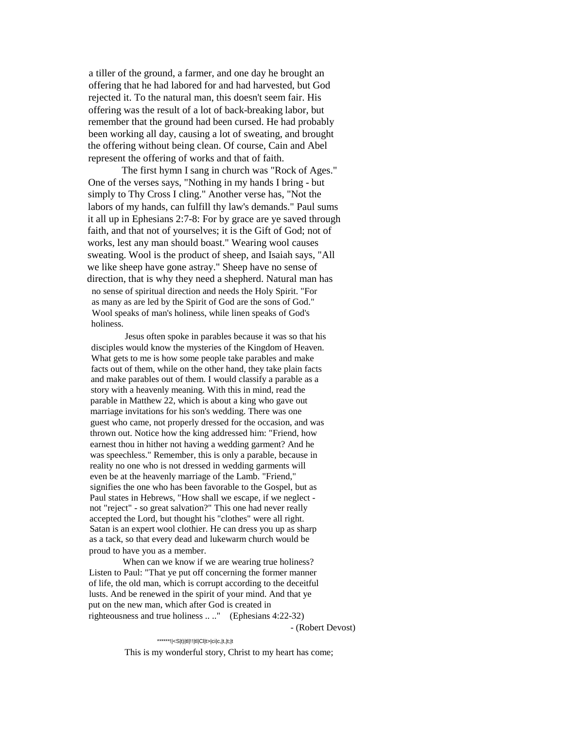a tiller of the ground, a farmer, and one day he brought an offering that he had labored for and had harvested, but God rejected it. To the natural man, this doesn't seem fair. His offering was the result of a lot of back-breaking labor, but remember that the ground had been cursed. He had probably been working all day, causing a lot of sweating, and brought the offering without being clean. Of course, Cain and Abel represent the offering of works and that of faith.

The first hymn I sang in church was "Rock of Ages." One of the verses says, "Nothing in my hands I bring - but simply to Thy Cross I cling." Another verse has, "Not the labors of my hands, can fulfill thy law's demands." Paul sums it all up in Ephesians 2:7-8: For by grace are ye saved through faith, and that not of yourselves; it is the Gift of God; not of works, lest any man should boast." Wearing wool causes sweating. Wool is the product of sheep, and Isaiah says, "All we like sheep have gone astray." Sheep have no sense of direction, that is why they need a shepherd. Natural man has no sense of spiritual direction and needs the Holy Spirit. "For as many as are led by the Spirit of God are the sons of God." Wool speaks of man's holiness, while linen speaks of God's holiness.

Jesus often spoke in parables because it was so that his disciples would know the mysteries of the Kingdom of Heaven. What gets to me is how some people take parables and make facts out of them, while on the other hand, they take plain facts and make parables out of them. I would classify a parable as a story with a heavenly meaning. With this in mind, read the parable in Matthew 22, which is about a king who gave out marriage invitations for his son's wedding. There was one guest who came, not properly dressed for the occasion, and was thrown out. Notice how the king addressed him: "Friend, how earnest thou in hither not having a wedding garment? And he was speechless." Remember, this is only a parable, because in reality no one who is not dressed in wedding garments will even be at the heavenly marriage of the Lamb. "Friend," signifies the one who has been favorable to the Gospel, but as Paul states in Hebrews, "How shall we escape, if we neglect not "reject" - so great salvation?" This one had never really accepted the Lord, but thought his "clothes" were all right. Satan is an expert wool clothier. He can dress you up as sharp as a tack, so that every dead and lukewarm church would be proud to have you as a member.

When can we know if we are wearing true holiness? Listen to Paul: "That ye put off concerning the former manner of life, the old man, which is corrupt according to the deceitful lusts. And be renewed in the spirit of your mind. And that ye put on the new man, which after God is created in righteousness and true holiness .. .." (Ephesians 4:22-32)

- (Robert Devost)

\*\*\*\*\*\*!|<S|t)|tl|!!|tl|Cl|t>|ci|c,|t,|t;|t This is my wonderful story, Christ to my heart has come;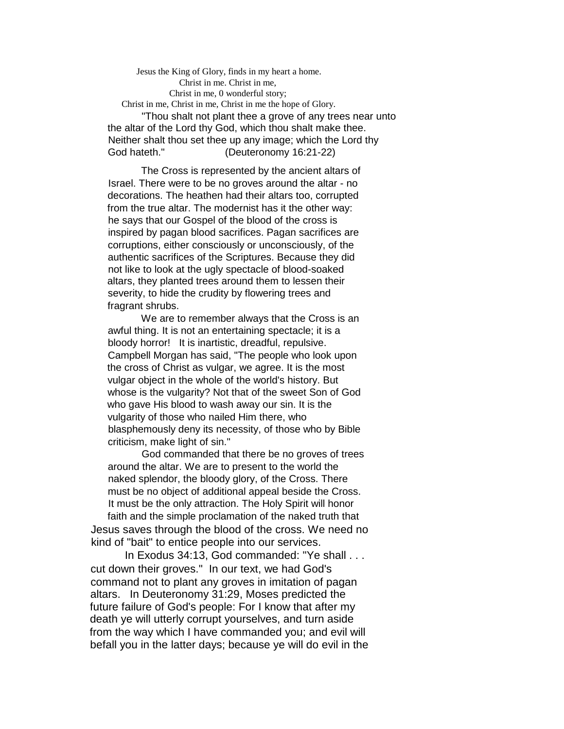Jesus the King of Glory, finds in my heart a home. Christ in me. Christ in me, Christ in me, 0 wonderful story; Christ in me, Christ in me, Christ in me the hope of Glory. "Thou shalt not plant thee a grove of any trees near unto the altar of the Lord thy God, which thou shalt make thee. Neither shalt thou set thee up any image; which the Lord thy God hateth." (Deuteronomy 16:21-22)

The Cross is represented by the ancient altars of Israel. There were to be no groves around the altar - no decorations. The heathen had their altars too, corrupted from the true altar. The modernist has it the other way: he says that our Gospel of the blood of the cross is inspired by pagan blood sacrifices. Pagan sacrifices are corruptions, either consciously or unconsciously, of the authentic sacrifices of the Scriptures. Because they did not like to look at the ugly spectacle of blood-soaked altars, they planted trees around them to lessen their severity, to hide the crudity by flowering trees and fragrant shrubs.

We are to remember always that the Cross is an awful thing. It is not an entertaining spectacle; it is a bloody horror! It is inartistic, dreadful, repulsive. Campbell Morgan has said, "The people who look upon the cross of Christ as vulgar, we agree. It is the most vulgar object in the whole of the world's history. But whose is the vulgarity? Not that of the sweet Son of God who gave His blood to wash away our sin. It is the vulgarity of those who nailed Him there, who blasphemously deny its necessity, of those who by Bible criticism, make light of sin."

God commanded that there be no groves of trees around the altar. We are to present to the world the naked splendor, the bloody glory, of the Cross. There must be no object of additional appeal beside the Cross. It must be the only attraction. The Holy Spirit will honor faith and the simple proclamation of the naked truth that Jesus saves through the blood of the cross. We need no

kind of "bait" to entice people into our services.

In Exodus 34:13, God commanded: "Ye shall . . . cut down their groves." In our text, we had God's command not to plant any groves in imitation of pagan altars. In Deuteronomy 31:29, Moses predicted the future failure of God's people: For I know that after my death ye will utterly corrupt yourselves, and turn aside from the way which I have commanded you; and evil will befall you in the latter days; because ye will do evil in the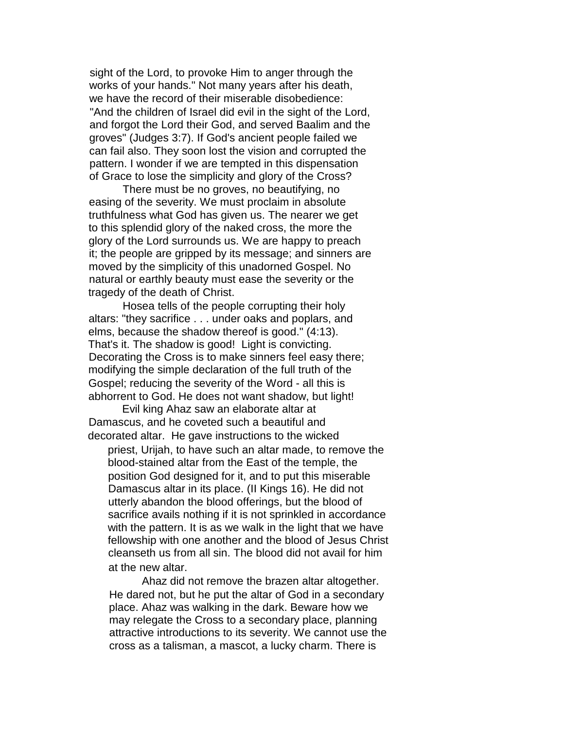sight of the Lord, to provoke Him to anger through the works of your hands." Not many years after his death, we have the record of their miserable disobedience: "And the children of Israel did evil in the sight of the Lord, and forgot the Lord their God, and served Baalim and the groves" (Judges 3:7). If God's ancient people failed we can fail also. They soon lost the vision and corrupted the pattern. I wonder if we are tempted in this dispensation of Grace to lose the simplicity and glory of the Cross?

There must be no groves, no beautifying, no easing of the severity. We must proclaim in absolute truthfulness what God has given us. The nearer we get to this splendid glory of the naked cross, the more the glory of the Lord surrounds us. We are happy to preach it; the people are gripped by its message; and sinners are moved by the simplicity of this unadorned Gospel. No natural or earthly beauty must ease the severity or the tragedy of the death of Christ.

Hosea tells of the people corrupting their holy altars: "they sacrifice . . . under oaks and poplars, and elms, because the shadow thereof is good." (4:13). That's it. The shadow is good! Light is convicting. Decorating the Cross is to make sinners feel easy there; modifying the simple declaration of the full truth of the Gospel; reducing the severity of the Word - all this is abhorrent to God. He does not want shadow, but light!

Evil king Ahaz saw an elaborate altar at Damascus, and he coveted such a beautiful and decorated altar. He gave instructions to the wicked

priest, Urijah, to have such an altar made, to remove the blood-stained altar from the East of the temple, the position God designed for it, and to put this miserable Damascus altar in its place. (II Kings 16). He did not utterly abandon the blood offerings, but the blood of sacrifice avails nothing if it is not sprinkled in accordance with the pattern. It is as we walk in the light that we have fellowship with one another and the blood of Jesus Christ cleanseth us from all sin. The blood did not avail for him at the new altar.

Ahaz did not remove the brazen altar altogether. He dared not, but he put the altar of God in a secondary place. Ahaz was walking in the dark. Beware how we may relegate the Cross to a secondary place, planning attractive introductions to its severity. We cannot use the cross as a talisman, a mascot, a lucky charm. There is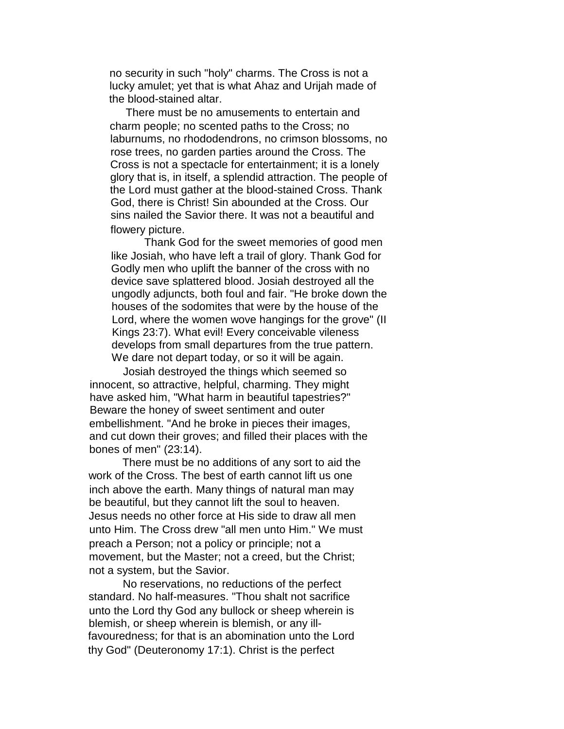no security in such "holy" charms. The Cross is not a lucky amulet; yet that is what Ahaz and Urijah made of the blood-stained altar.

There must be no amusements to entertain and charm people; no scented paths to the Cross; no laburnums, no rhododendrons, no crimson blossoms, no rose trees, no garden parties around the Cross. The Cross is not a spectacle for entertainment; it is a lonely glory that is, in itself, a splendid attraction. The people of the Lord must gather at the blood-stained Cross. Thank God, there is Christ! Sin abounded at the Cross. Our sins nailed the Savior there. It was not a beautiful and flowery picture.

Thank God for the sweet memories of good men like Josiah, who have left a trail of glory. Thank God for Godly men who uplift the banner of the cross with no device save splattered blood. Josiah destroyed all the ungodly adjuncts, both foul and fair. "He broke down the houses of the sodomites that were by the house of the Lord, where the women wove hangings for the grove" (II Kings 23:7). What evil! Every conceivable vileness develops from small departures from the true pattern. We dare not depart today, or so it will be again.

Josiah destroyed the things which seemed so innocent, so attractive, helpful, charming. They might have asked him, "What harm in beautiful tapestries?" Beware the honey of sweet sentiment and outer embellishment. "And he broke in pieces their images, and cut down their groves; and filled their places with the bones of men" (23:14).

There must be no additions of any sort to aid the work of the Cross. The best of earth cannot lift us one inch above the earth. Many things of natural man may be beautiful, but they cannot lift the soul to heaven. Jesus needs no other force at His side to draw all men unto Him. The Cross drew "all men unto Him." We must preach a Person; not a policy or principle; not a movement, but the Master; not a creed, but the Christ; not a system, but the Savior.

No reservations, no reductions of the perfect standard. No half-measures. "Thou shalt not sacrifice unto the Lord thy God any bullock or sheep wherein is blemish, or sheep wherein is blemish, or any illfavouredness; for that is an abomination unto the Lord thy God" (Deuteronomy 17:1). Christ is the perfect